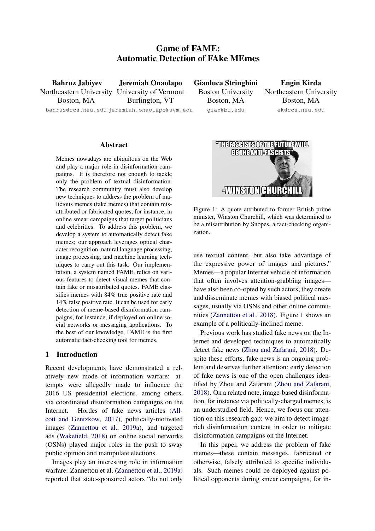# Game of FAME: Automatic Detection of FAke MEmes

Bahruz Jabiyev Northeastern University University of Vermont Boston, MA

Jeremiah Onaolapo Burlington, VT

bahruz@ccs.neu.edu jeremiah.onaolapo@uvm.edu

#### Abstract

Memes nowadays are ubiquitous on the Web and play a major role in disinformation campaigns. It is therefore not enough to tackle only the problem of textual disinformation. The research community must also develop new techniques to address the problem of malicious memes (fake memes) that contain misattributed or fabricated quotes, for instance, in online smear campaigns that target politicians and celebrities. To address this problem, we develop a system to automatically detect fake memes; our approach leverages optical character recognition, natural language processing, image processing, and machine learning techniques to carry out this task. Our implementation, a system named FAME, relies on various features to detect visual memes that contain fake or misattributed quotes. FAME classifies memes with 84% true positive rate and 14% false positive rate. It can be used for early detection of meme-based disinformation campaigns, for instance, if deployed on online social networks or messaging applications. To the best of our knowledge, FAME is the first automatic fact-checking tool for memes.

### 1 Introduction

Recent developments have demonstrated a relatively new mode of information warfare: attempts were allegedly made to influence the 2016 US presidential elections, among others, via coordinated disinformation campaigns on the Internet. Hordes of fake news articles [\(All](#page-8-0)[cott and Gentzkow,](#page-8-0) [2017\)](#page-8-0), politically-motivated images [\(Zannettou et al.,](#page-8-1) [2019a\)](#page-8-1), and targeted ads [\(Wakefield,](#page-8-2) [2018\)](#page-8-2) on online social networks (OSNs) played major roles in the push to sway public opinion and manipulate elections.

Images play an interesting role in information warfare: Zannettou et al. [\(Zannettou et al.,](#page-8-1) [2019a\)](#page-8-1) reported that state-sponsored actors "do not only Gianluca Stringhini Boston University Boston, MA gian@bu.edu

Engin Kirda Northeastern University Boston, MA ek@ccs.neu.edu

<span id="page-0-0"></span>

Figure 1: A quote attributed to former British prime minister, Winston Churchill, which was determined to be a misattribution by Snopes, a fact-checking organization.

use textual content, but also take advantage of the expressive power of images and pictures." Memes—a popular Internet vehicle of information that often involves attention-grabbing images have also been co-opted by such actors; they create and disseminate memes with biased political messages, usually via OSNs and other online communities [\(Zannettou et al.,](#page-8-3) [2018\)](#page-8-3). Figure [1](#page-0-0) shows an example of a politically-inclined meme.

Previous work has studied fake news on the Internet and developed techniques to automatically detect fake news [\(Zhou and Zafarani,](#page-9-0) [2018\)](#page-9-0). Despite these efforts, fake news is an ongoing problem and deserves further attention: early detection of fake news is one of the open challenges identified by Zhou and Zafarani [\(Zhou and Zafarani,](#page-9-0) [2018\)](#page-9-0). On a related note, image-based disinformation, for instance via politically-charged memes, is an understudied field. Hence, we focus our attention on this research gap: we aim to detect imagerich disinformation content in order to mitigate disinformation campaigns on the Internet.

In this paper, we address the problem of fake memes—these contain messages, fabricated or otherwise, falsely attributed to specific individuals. Such memes could be deployed against political opponents during smear campaigns, for in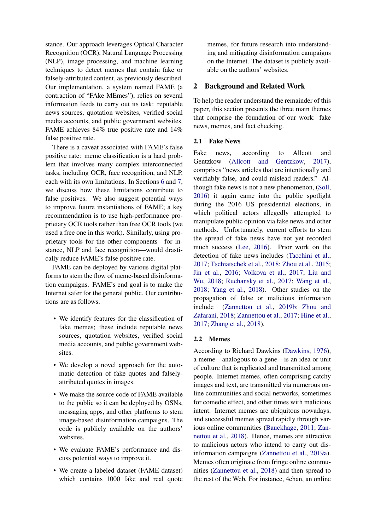stance. Our approach leverages Optical Character Recognition (OCR), Natural Language Processing (NLP), image processing, and machine learning techniques to detect memes that contain fake or falsely-attributed content, as previously described. Our implementation, a system named FAME (a contraction of "FAke MEmes"), relies on several information feeds to carry out its task: reputable news sources, quotation websites, verified social media accounts, and public government websites. FAME achieves 84% true positive rate and 14% false positive rate.

There is a caveat associated with FAME's false positive rate: meme classification is a hard problem that involves many complex interconnected tasks, including OCR, face recognition, and NLP, each with its own limitations. In Sections [6](#page-5-0) and [7,](#page-7-0) we discuss how these limitations contribute to false positives. We also suggest potential ways to improve future instantiations of FAME; a key recommendation is to use high-performance proprietary OCR tools rather than free OCR tools (we used a free one in this work). Similarly, using proprietary tools for the other components—for instance, NLP and face recognition—would drastically reduce FAME's false positive rate.

FAME can be deployed by various digital platforms to stem the flow of meme-based disinformation campaigns. FAME's end goal is to make the Internet safer for the general public. Our contributions are as follows.

- We identify features for the classification of fake memes; these include reputable news sources, quotation websites, verified social media accounts, and public government websites.
- We develop a novel approach for the automatic detection of fake quotes and falselyattributed quotes in images.
- We make the source code of FAME available to the public so it can be deployed by OSNs, messaging apps, and other platforms to stem image-based disinformation campaigns. The code is publicly available on the authors' websites.
- We evaluate FAME's performance and discuss potential ways to improve it.
- We create a labeled dataset (FAME dataset) which contains 1000 fake and real quote

memes, for future research into understanding and mitigating disinformation campaigns on the Internet. The dataset is publicly available on the authors' websites.

### 2 Background and Related Work

To help the reader understand the remainder of this paper, this section presents the three main themes that comprise the foundation of our work: fake news, memes, and fact checking.

### 2.1 Fake News

Fake news, according to Allcott and Gentzkow [\(Allcott and Gentzkow,](#page-8-0) [2017\)](#page-8-0), comprises "news articles that are intentionally and verifiably false, and could mislead readers." Although fake news is not a new phenomenon, [\(Soll,](#page-8-4) [2016\)](#page-8-4) it again came into the public spotlight during the 2016 US presidential elections, in which political actors allegedly attempted to manipulate public opinion via fake news and other methods. Unfortunately, current efforts to stem the spread of fake news have not yet recorded much success [\(Lee,](#page-8-5) [2016\)](#page-8-5). Prior work on the detection of fake news includes [\(Tacchini et al.,](#page-8-6) [2017;](#page-8-6) [Tschiatschek et al.,](#page-8-7) [2018;](#page-8-7) [Zhou et al.,](#page-9-1) [2015;](#page-9-1) [Jin et al.,](#page-8-8) [2016;](#page-8-8) [Volkova et al.,](#page-8-9) [2017;](#page-8-9) [Liu and](#page-8-10) [Wu,](#page-8-10) [2018;](#page-8-10) [Ruchansky et al.,](#page-8-11) [2017;](#page-8-11) [Wang et al.,](#page-8-12) [2018;](#page-8-12) [Yang et al.,](#page-8-13) [2018\)](#page-8-13). Other studies on the propagation of false or malicious information include [\(Zannettou et al.,](#page-9-2) [2019b;](#page-9-2) [Zhou and](#page-9-0) [Zafarani,](#page-9-0) [2018;](#page-9-0) [Zannettou et al.,](#page-9-3) [2017;](#page-9-3) [Hine et al.,](#page-8-14) [2017;](#page-8-14) [Zhang et al.,](#page-9-4) [2018\)](#page-9-4).

#### <span id="page-1-0"></span>2.2 Memes

According to Richard Dawkins [\(Dawkins,](#page-8-15) [1976\)](#page-8-15), a meme—analogous to a gene—is an idea or unit of culture that is replicated and transmitted among people. Internet memes, often comprising catchy images and text, are transmitted via numerous online communities and social networks, sometimes for comedic effect, and other times with malicious intent. Internet memes are ubiquitous nowadays, and successful memes spread rapidly through various online communities [\(Bauckhage,](#page-8-16) [2011;](#page-8-16) [Zan](#page-8-3)[nettou et al.,](#page-8-3) [2018\)](#page-8-3). Hence, memes are attractive to malicious actors who intend to carry out disinformation campaigns [\(Zannettou et al.,](#page-8-1) [2019a\)](#page-8-1). Memes often originate from fringe online communities [\(Zannettou et al.,](#page-8-3) [2018\)](#page-8-3) and then spread to the rest of the Web. For instance, 4chan, an online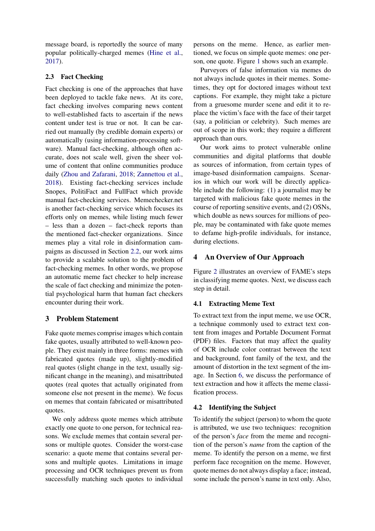message board, is reportedly the source of many popular politically-charged memes [\(Hine et al.,](#page-8-14) [2017\)](#page-8-14).

## <span id="page-2-1"></span>2.3 Fact Checking

Fact checking is one of the approaches that have been deployed to tackle fake news. At its core, fact checking involves comparing news content to well-established facts to ascertain if the news content under test is true or not. It can be carried out manually (by credible domain experts) or automatically (using information-processing software). Manual fact-checking, although often accurate, does not scale well, given the sheer volume of content that online communities produce daily [\(Zhou and Zafarani,](#page-9-0) [2018;](#page-9-0) [Zannettou et al.,](#page-8-3) [2018\)](#page-8-3). Existing fact-checking services include Snopes, PolitiFact and FullFact which provide manual fact-checking services. Memechecker.net is another fact-checking service which focuses its efforts only on memes, while listing much fewer – less than a dozen – fact-check reports than the mentioned fact-checker organizations. Since memes play a vital role in disinformation campaigns as discussed in Section [2.2,](#page-1-0) our work aims to provide a scalable solution to the problem of fact-checking memes. In other words, we propose an automatic meme fact checker to help increase the scale of fact checking and minimize the potential psychological harm that human fact checkers encounter during their work.

## 3 Problem Statement

Fake quote memes comprise images which contain fake quotes, usually attributed to well-known people. They exist mainly in three forms: memes with fabricated quotes (made up), slightly-modified real quotes (slight change in the text, usually significant change in the meaning), and misattributed quotes (real quotes that actually originated from someone else not present in the meme). We focus on memes that contain fabricated or misattributed quotes.

We only address quote memes which attribute exactly one quote to one person, for technical reasons. We exclude memes that contain several persons or multiple quotes. Consider the worst-case scenario: a quote meme that contains several persons and multiple quotes. Limitations in image processing and OCR techniques prevent us from successfully matching such quotes to individual persons on the meme. Hence, as earlier mentioned, we focus on simple quote memes: one person, one quote. Figure [1](#page-0-0) shows such an example.

Purveyors of false information via memes do not always include quotes in their memes. Sometimes, they opt for doctored images without text captions. For example, they might take a picture from a gruesome murder scene and edit it to replace the victim's face with the face of their target (say, a politician or celebrity). Such memes are out of scope in this work; they require a different approach than ours.

Our work aims to protect vulnerable online communities and digital platforms that double as sources of information, from certain types of image-based disinformation campaigns. Scenarios in which our work will be directly applicable include the following: (1) a journalist may be targeted with malicious fake quote memes in the course of reporting sensitive events, and (2) OSNs, which double as news sources for millions of people, may be contaminated with fake quote memes to defame high-profile individuals, for instance, during elections.

## <span id="page-2-0"></span>4 An Overview of Our Approach

Figure [2](#page-3-0) illustrates an overview of FAME's steps in classifying meme quotes. Next, we discuss each step in detail.

### 4.1 Extracting Meme Text

To extract text from the input meme, we use OCR, a technique commonly used to extract text content from images and Portable Document Format (PDF) files. Factors that may affect the quality of OCR include color contrast between the text and background, font family of the text, and the amount of distortion in the text segment of the image. In Section [6,](#page-5-0) we discuss the performance of text extraction and how it affects the meme classification process.

### 4.2 Identifying the Subject

To identify the subject (person) to whom the quote is attributed, we use two techniques: recognition of the person's *face* from the meme and recognition of the person's *name* from the caption of the meme. To identify the person on a meme, we first perform face recognition on the meme. However, quote memes do not always display a face; instead, some include the person's name in text only. Also,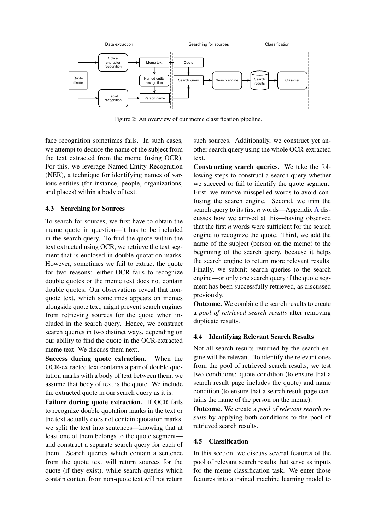<span id="page-3-0"></span>

Figure 2: An overview of our meme classification pipeline.

face recognition sometimes fails. In such cases, we attempt to deduce the name of the subject from the text extracted from the meme (using OCR). For this, we leverage Named-Entity Recognition (NER), a technique for identifying names of various entities (for instance, people, organizations, and places) within a body of text.

### 4.3 Searching for Sources

To search for sources, we first have to obtain the meme quote in question—it has to be included in the search query. To find the quote within the text extracted using OCR, we retrieve the text segment that is enclosed in double quotation marks. However, sometimes we fail to extract the quote for two reasons: either OCR fails to recognize double quotes or the meme text does not contain double quotes. Our observations reveal that nonquote text, which sometimes appears on memes alongside quote text, might prevent search engines from retrieving sources for the quote when included in the search query. Hence, we construct search queries in two distinct ways, depending on our ability to find the quote in the OCR-extracted meme text. We discuss them next.

Success during quote extraction. When the OCR-extracted text contains a pair of double quotation marks with a body of text between them, we assume that body of text is the quote. We include the extracted quote in our search query as it is.

Failure during quote extraction. If OCR fails to recognize double quotation marks in the text or the text actually does not contain quotation marks, we split the text into sentences—knowing that at least one of them belongs to the quote segment and construct a separate search query for each of them. Search queries which contain a sentence from the quote text will return sources for the quote (if they exist), while search queries which contain content from non-quote text will not return such sources. Additionally, we construct yet another search query using the whole OCR-extracted text.

Constructing search queries. We take the following steps to construct a search query whether we succeed or fail to identify the quote segment. First, we remove misspelled words to avoid confusing the search engine. Second, we trim the search query to its first *n* words—Appendix [A](#page-9-5) discusses how we arrived at this—having observed that the first *n* words were sufficient for the search engine to recognize the quote. Third, we add the name of the subject (person on the meme) to the beginning of the search query, because it helps the search engine to return more relevant results. Finally, we submit search queries to the search engine—or only one search query if the quote segment has been successfully retrieved, as discussed previously.

Outcome. We combine the search results to create a *pool of retrieved search results* after removing duplicate results.

## <span id="page-3-1"></span>4.4 Identifying Relevant Search Results

Not all search results returned by the search engine will be relevant. To identify the relevant ones from the pool of retrieved search results, we test two conditions: quote condition (to ensure that a search result page includes the quote) and name condition (to ensure that a search result page contains the name of the person on the meme).

Outcome. We create a *pool of relevant search results* by applying both conditions to the pool of retrieved search results.

### 4.5 Classification

In this section, we discuss several features of the pool of relevant search results that serve as inputs for the meme classification task. We enter those features into a trained machine learning model to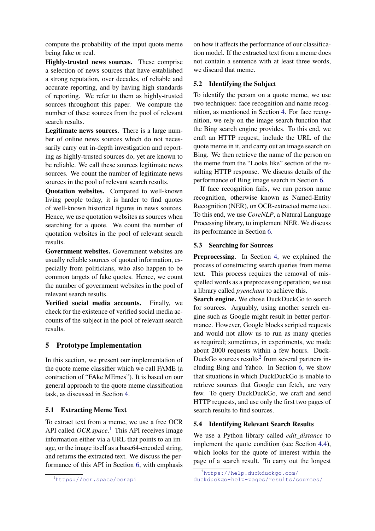compute the probability of the input quote meme being fake or real.

Highly-trusted news sources. These comprise a selection of news sources that have established a strong reputation, over decades, of reliable and accurate reporting, and by having high standards of reporting. We refer to them as highly-trusted sources throughout this paper. We compute the number of these sources from the pool of relevant search results.

Legitimate news sources. There is a large number of online news sources which do not necessarily carry out in-depth investigation and reporting as highly-trusted sources do, yet are known to be reliable. We call these sources legitimate news sources. We count the number of legitimate news sources in the pool of relevant search results.

Quotation websites. Compared to well-known living people today, it is harder to find quotes of well-known historical figures in news sources. Hence, we use quotation websites as sources when searching for a quote. We count the number of quotation websites in the pool of relevant search results.

Government websites. Government websites are usually reliable sources of quoted information, especially from politicians, who also happen to be common targets of fake quotes. Hence, we count the number of government websites in the pool of relevant search results.

Verified social media accounts. Finally, we check for the existence of verified social media accounts of the subject in the pool of relevant search results.

## <span id="page-4-2"></span>5 Prototype Implementation

In this section, we present our implementation of the quote meme classifier which we call FAME (a contraction of "FAke MEmes"). It is based on our general approach to the quote meme classification task, as discussed in Section [4.](#page-2-0)

### 5.1 Extracting Meme Text

To extract text from a meme, we use a free OCR API called *OCR.space*. [1](#page-4-0) This API receives image information either via a URL that points to an image, or the image itself as a base64-encoded string, and returns the extracted text. We discuss the performance of this API in Section [6,](#page-5-0) with emphasis

on how it affects the performance of our classification model. If the extracted text from a meme does not contain a sentence with at least three words, we discard that meme.

#### 5.2 Identifying the Subject

To identify the person on a quote meme, we use two techniques: face recognition and name recognition, as mentioned in Section [4.](#page-2-0) For face recognition, we rely on the image search function that the Bing search engine provides. To this end, we craft an HTTP request, include the URL of the quote meme in it, and carry out an image search on Bing. We then retrieve the name of the person on the meme from the "Looks like" section of the resulting HTTP response. We discuss details of the performance of Bing image search in Section [6.](#page-5-0)

If face recognition fails, we run person name recognition, otherwise known as Named-Entity Recognition (NER), on OCR-extracted meme text. To this end, we use *CoreNLP*, a Natural Language Processing library, to implement NER. We discuss its performance in Section [6.](#page-5-0)

#### 5.3 Searching for Sources

Preprocessing. In Section [4,](#page-2-0) we explained the process of constructing search queries from meme text. This process requires the removal of misspelled words as a preprocessing operation; we use a library called *pyenchant* to achieve this.

Search engine. We chose DuckDuckGo to search for sources. Arguably, using another search engine such as Google might result in better performance. However, Google blocks scripted requests and would not allow us to run as many queries as required; sometimes, in experiments, we made about 2000 requests within a few hours. Duck-DuckGo sources results<sup>[2](#page-4-1)</sup> from several partners including Bing and Yahoo. In Section [6,](#page-5-0) we show that situations in which DuckDuckGo is unable to retrieve sources that Google can fetch, are very few. To query DuckDuckGo, we craft and send HTTP requests, and use only the first two pages of search results to find sources.

### 5.4 Identifying Relevant Search Results

We use a Python library called *edit\_distance* to implement the quote condition (see Section [4.4\)](#page-3-1), which looks for the quote of interest within the page of a search result. To carry out the longest

<span id="page-4-0"></span><sup>1</sup><https://ocr.space/ocrapi>

<span id="page-4-1"></span><sup>2</sup>[https://help.duckduckgo.com/](https://help.duckduckgo.com/duckduckgo-help-pages/results/sources/) [duckduckgo-help-pages/results/sources/](https://help.duckduckgo.com/duckduckgo-help-pages/results/sources/)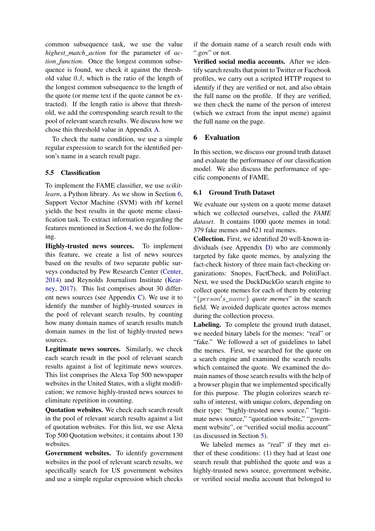common subsequence task, we use the value *highest\_match\_action* for the parameter of *action\_function*. Once the longest common subsequence is found, we check it against the threshold value *0.3*, which is the ratio of the length of the longest common subsequence to the length of the quote (or meme text if the quote cannot be extracted). If the length ratio is above that threshold, we add the corresponding search result to the pool of relevant search results. We discuss how we chose this threshold value in Appendix [A.](#page-9-5)

To check the name condition, we use a simple regular expression to search for the identified person's name in a search result page.

### 5.5 Classification

To implement the FAME classifier, we use *scikitlearn*, a Python library. As we show in Section [6,](#page-5-0) Support Vector Machine (SVM) with rbf kernel yields the best results in the quote meme classification task. To extract information regarding the features mentioned in Section [4,](#page-2-0) we do the following.

Highly-trusted news sources. To implement this feature, we create a list of news sources based on the results of two separate public surveys conducted by Pew Research Center [\(Center,](#page-8-17) [2014\)](#page-8-17) and Reynolds Journalism Institute [\(Kear](#page-8-18)[ney,](#page-8-18) [2017\)](#page-8-18). This list comprises about 30 different news sources (see Appendix [C\)](#page-9-6). We use it to identify the number of highly-trusted sources in the pool of relevant search results, by counting how many domain names of search results match domain names in the list of highly-trusted news sources.

Legitimate news sources. Similarly, we check each search result in the pool of relevant search results against a list of legitimate news sources. This list comprises the Alexa Top 500 newspaper websites in the United States, with a slight modification; we remove highly-trusted news sources to eliminate repetition in counting.

Quotation websites. We check each search result in the pool of relevant search results against a list of quotation websites. For this list, we use Alexa Top 500 Quotation websites; it contains about 130 websites.

Government websites. To identify government websites in the pool of relevant search results, we specifically search for US government websites and use a simple regular expression which checks if the domain name of a search result ends with ".gov" or not.

Verified social media accounts. After we identify search results that point to Twitter or Facebook profiles, we carry out a scripted HTTP request to identify if they are verified or not, and also obtain the full name on the profile. If they are verified, we then check the name of the person of interest (which we extract from the input meme) against the full name on the page.

### <span id="page-5-0"></span>6 Evaluation

In this section, we discuss our ground truth dataset and evaluate the performance of our classification model. We also discuss the performance of specific components of FAME.

#### 6.1 Ground Truth Dataset

We evaluate our system on a quote meme dataset which we collected ourselves, called the *FAME dataset*. It contains 1000 quote memes in total: 379 fake memes and 621 real memes.

Collection. First, we identified 20 well-known individuals (see Appendix [D\)](#page-10-0) who are commonly targeted by fake quote memes, by analyzing the fact-check history of three main fact-checking organizations: Snopes, FactCheck, and PolitiFact. Next, we used the DuckDuckGo search engine to collect quote memes for each of them by entering "{person's\_name} quote memes" in the search field. We avoided duplicate quotes across memes during the collection process.

Labeling. To complete the ground truth dataset, we needed binary labels for the memes: "real" or "fake." We followed a set of guidelines to label the memes. First, we searched for the quote on a search engine and examined the search results which contained the quote. We examined the domain names of those search results with the help of a browser plugin that we implemented specifically for this purpose. The plugin colorizes search results of interest, with unique colors, depending on their type: "highly-trusted news source," "legitimate news source," "quotation website," "government website", or "verified social media account" (as discussed in Section [5\)](#page-4-2).

We labeled memes as "real" if they met either of these conditions: (1) they had at least one search result that published the quote and was a highly-trusted news source, government website, or verified social media account that belonged to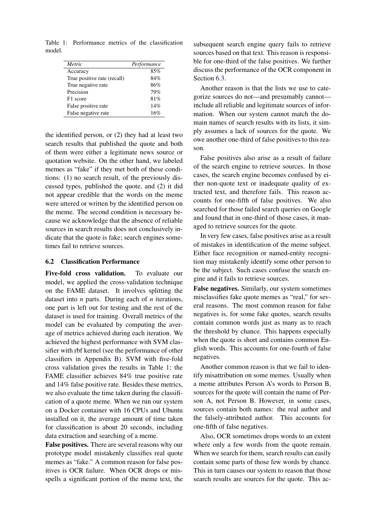<span id="page-6-0"></span>Table 1: Performance metrics of the classification model.

| Metric                      | Performance |  |
|-----------------------------|-------------|--|
| Accuracy                    | 85%         |  |
| True positive rate (recall) | 84%         |  |
| True negative rate          | 86%         |  |
| Precision                   | 79%         |  |
| F1 score                    | 81%         |  |
| False positive rate         | 14%         |  |
| False negative rate         | 16%         |  |

the identified person, or (2) they had at least two search results that published the quote and both of them were either a legitimate news source or quotation website. On the other hand, we labeled memes as "fake" if they met both of these conditions: (1) no search result, of the previously discussed types, published the quote, and (2) it did not appear credible that the words on the meme were uttered or written by the identified person on the meme. The second condition is necessary because we acknowledge that the absence of reliable sources in search results does not conclusively indicate that the quote is fake; search engines sometimes fail to retrieve sources.

#### 6.2 Classification Performance

Five-fold cross validation. To evaluate our model, we applied the cross-validation technique on the FAME dataset. It involves splitting the dataset into *n* parts. During each of *n* iterations, one part is left out for testing and the rest of the dataset is used for training. Overall metrics of the model can be evaluated by computing the average of metrics achieved during each iteration. We achieved the highest performance with SVM classifier with rbf kernel (see the performance of other classifiers in Appendix [B\)](#page-9-7). SVM with five-fold cross validation gives the results in Table [1;](#page-6-0) the FAME classifier achieves 84% true positive rate and 14% false positive rate. Besides these metrics, we also evaluate the time taken during the classification of a quote meme. When we run our system on a Docker container with 16 CPUs and Ubuntu installed on it, the average amount of time taken for classification is about 20 seconds, including data extraction and searching of a meme.

False positives. There are several reasons why our prototype model mistakenly classifies real quote memes as "fake." A common reason for false positives is OCR failure. When OCR drops or misspells a significant portion of the meme text, the

subsequent search engine query fails to retrieve sources based on that text. This reason is responsible for one-third of the false positives. We further discuss the performance of the OCR component in Section [6.3.](#page-7-1)

Another reason is that the lists we use to categorize sources do not—and presumably cannot include all reliable and legitimate sources of information. When our system cannot match the domain names of search results with its lists, it simply assumes a lack of sources for the quote. We owe another one-third of false positives to this reason.

False positives also arise as a result of failure of the search engine to retrieve sources. In those cases, the search engine becomes confused by either non-quote text or inadequate quality of extracted text, and therefore fails. This reason accounts for one-fifth of false positives. We also searched for those failed search queries on Google and found that in one-third of those cases, it managed to retrieve sources for the quote.

In very few cases, false positives arise as a result of mistakes in identification of the meme subject. Either face recognition or named-entity recognition may mistakenly identify some other person to be the subject. Such cases confuse the search engine and it fails to retrieve sources.

False negatives. Similarly, our system sometimes misclassifies fake quote memes as "real," for several reasons. The most common reason for false negatives is, for some fake quotes, search results contain common words just as many as to reach the threshold by chance. This happens especially when the quote is short and contains common English words. This accounts for one-fourth of false negatives.

Another common reason is that we fail to identify misattribution on some memes. Usually when a meme attributes Person A's words to Person B, sources for the quote will contain the name of Person A, not Person B. However, in some cases, sources contain both names: the real author and the falsely-attributed author. This accounts for one-fifth of false negatives.

Also, OCR sometimes drops words to an extent where only a few words from the quote remain. When we search for them, search results can easily contain some parts of those few words by chance. This in turn causes our system to reason that those search results are sources for the quote. This ac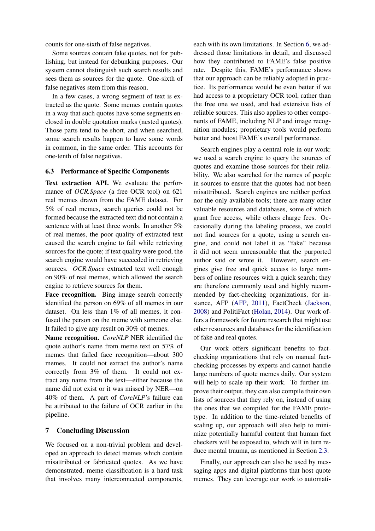counts for one-sixth of false negatives.

Some sources contain fake quotes, not for publishing, but instead for debunking purposes. Our system cannot distinguish such search results and sees them as sources for the quote. One-sixth of false negatives stem from this reason.

In a few cases, a wrong segment of text is extracted as the quote. Some memes contain quotes in a way that such quotes have some segments enclosed in double quotation marks (nested quotes). Those parts tend to be short, and when searched, some search results happen to have some words in common, in the same order. This accounts for one-tenth of false negatives.

#### <span id="page-7-1"></span>6.3 Performance of Specific Components

Text extraction API. We evaluate the performance of *OCR.Space* (a free OCR tool) on 621 real memes drawn from the FAME dataset. For 5% of real memes, search queries could not be formed because the extracted text did not contain a sentence with at least three words. In another 5% of real memes, the poor quality of extracted text caused the search engine to fail while retrieving sources for the quote; if text quality were good, the search engine would have succeeded in retrieving sources. *OCR.Space* extracted text well enough on 90% of real memes, which allowed the search engine to retrieve sources for them.

Face recognition. Bing image search correctly identified the person on 69% of all memes in our dataset. On less than 1% of all memes, it confused the person on the meme with someone else. It failed to give any result on 30% of memes.

Name recognition. *CoreNLP* NER identified the quote author's name from meme text on 57% of memes that failed face recognition—about 300 memes. It could not extract the author's name correctly from 3% of them. It could not extract any name from the text—either because the name did not exist or it was missed by NER—on 40% of them. A part of *CoreNLP*'s failure can be attributed to the failure of OCR earlier in the pipeline.

### <span id="page-7-0"></span>7 Concluding Discussion

We focused on a non-trivial problem and developed an approach to detect memes which contain misattributed or fabricated quotes. As we have demonstrated, meme classification is a hard task that involves many interconnected components,

each with its own limitations. In Section [6,](#page-5-0) we addressed those limitations in detail, and discussed how they contributed to FAME's false positive rate. Despite this, FAME's performance shows that our approach can be reliably adopted in practice. Its performance would be even better if we had access to a proprietary OCR tool, rather than the free one we used, and had extensive lists of reliable sources. This also applies to other components of FAME, including NLP and image recognition modules; proprietary tools would perform better and boost FAME's overall performance.

Search engines play a central role in our work: we used a search engine to query the sources of quotes and examine those sources for their reliability. We also searched for the names of people in sources to ensure that the quotes had not been misattributed. Search engines are neither perfect nor the only available tools; there are many other valuable resources and databases, some of which grant free access, while others charge fees. Occasionally during the labeling process, we could not find sources for a quote, using a search engine, and could not label it as "fake" because it did not seem unreasonable that the purported author said or wrote it. However, search engines give free and quick access to large numbers of online resources with a quick search; they are therefore commonly used and highly recommended by fact-checking organizations, for instance, AFP [\(AFP,](#page-8-19) [2011\)](#page-8-19), FactCheck [\(Jackson,](#page-8-20) [2008\)](#page-8-20) and PolitiFact [\(Holan,](#page-8-21) [2014\)](#page-8-21). Our work offers a framework for future research that might use other resources and databases for the identification of fake and real quotes.

Our work offers significant benefits to factchecking organizations that rely on manual factchecking processes by experts and cannot handle large numbers of quote memes daily. Our system will help to scale up their work. To further improve their output, they can also compile their own lists of sources that they rely on, instead of using the ones that we compiled for the FAME prototype. In addition to the time-related benefits of scaling up, our approach will also help to minimize potentially harmful content that human fact checkers will be exposed to, which will in turn reduce mental trauma, as mentioned in Section [2.3.](#page-2-1)

Finally, our approach can also be used by messaging apps and digital platforms that host quote memes. They can leverage our work to automati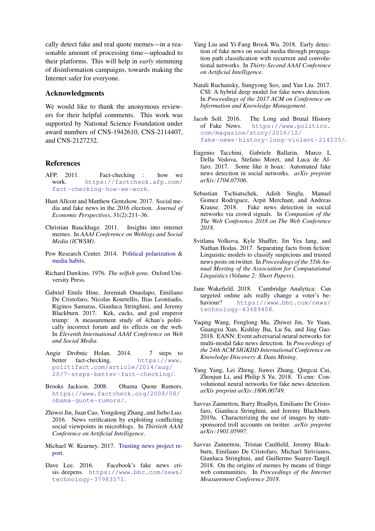cally detect fake and real quote memes—in a reasonable amount of processing time—uploaded to their platforms. This will help in *early* stemming of disinformation campaigns, towards making the Internet safer for everyone.

### Acknowledgments

We would like to thank the anonymous reviewers for their helpful comments. This work was supported by National Science Foundation under award numbers of CNS-1942610, CNS-2114407, and CNS-2127232.

### References

- <span id="page-8-19"></span>AFP. 2011. Fact-checking : how we work. [https://factcheck.afp.com/](https://factcheck.afp.com/fact-checking-how-we-work) [fact-checking-how-we-work](https://factcheck.afp.com/fact-checking-how-we-work).
- <span id="page-8-0"></span>Hunt Allcott and Matthew Gentzkow. 2017. Social media and fake news in the 2016 election. *Journal of Economic Perspectives*, 31(2):211–36.
- <span id="page-8-16"></span>Christian Bauckhage. 2011. Insights into internet memes. In *AAAI Conference on Weblogs and Social Media (ICWSM)*.
- <span id="page-8-17"></span>Pew Research Center. 2014. [Political polarization &](https://www.pewresearch.org/wp-content/uploads/sites/8/2014/10/Political-Polarization-and-Media-Habits-FINAL-REPORT-7-27-15.pdf) [media habits.](https://www.pewresearch.org/wp-content/uploads/sites/8/2014/10/Political-Polarization-and-Media-Habits-FINAL-REPORT-7-27-15.pdf)
- <span id="page-8-15"></span>Richard Dawkins. 1976. *The selfish gene*. Oxford University Press.
- <span id="page-8-14"></span>Gabriel Emile Hine, Jeremiah Onaolapo, Emiliano De Cristofaro, Nicolas Kourtellis, Ilias Leontiadis, Riginos Samaras, Gianluca Stringhini, and Jeremy Blackburn. 2017. Kek, cucks, and god emperor trump: A measurement study of 4chan's politically incorrect forum and its effects on the web. In *Eleventh International AAAI Conference on Web and Social Media*.
- <span id="page-8-21"></span>Angie Drobnic Holan. 2014. 7 steps to better fact-checking. [https://www.](https://www.politifact.com/article/2014/aug/20/7-steps-better-fact-checking/) [politifact.com/article/2014/aug/](https://www.politifact.com/article/2014/aug/20/7-steps-better-fact-checking/) [20/7-steps-better-fact-checking/](https://www.politifact.com/article/2014/aug/20/7-steps-better-fact-checking/).
- <span id="page-8-20"></span>Brooks Jackson. 2008. Obama Quote Rumors. [https://www.factcheck.org/2008/08/](https://www.factcheck.org/2008/08/obama-quote-rumors/) [obama-quote-rumors/](https://www.factcheck.org/2008/08/obama-quote-rumors/).
- <span id="page-8-8"></span>Zhiwei Jin, Juan Cao, Yongdong Zhang, and Jiebo Luo. 2016. News verification by exploiting conflicting social viewpoints in microblogs. In *Thirtieth AAAI Conference on Artificial Intelligence*.
- <span id="page-8-18"></span>Michael W. Kearney. 2017. [Trusting news project re](https://www.rjionline.org/reporthtml.html)[port.](https://www.rjionline.org/reporthtml.html)
- <span id="page-8-5"></span>Dave Lee. 2016. Facebook's fake news crisis deepens. [https://www.bbc.com/news/](https://www.bbc.com/news/technology-37983571) [technology-37983571](https://www.bbc.com/news/technology-37983571).
- <span id="page-8-10"></span>Yang Liu and Yi-Fang Brook Wu. 2018. Early detection of fake news on social media through propagation path classification with recurrent and convolutional networks. In *Thirty-Second AAAI Conference on Artificial Intelligence*.
- <span id="page-8-11"></span>Natali Ruchansky, Sungyong Seo, and Yan Liu. 2017. CSI: A hybrid deep model for fake news detection. In *Proceedings of the 2017 ACM on Conference on Information and Knowledge Management*.
- <span id="page-8-4"></span>Jacob Soll. 2016. The Long and Brutal History<br>of Fake News. https://www.politico. [https://www.politico.](https://www.politico.com/magazine/story/2016/12/fake-news-history-long-violent-214535/) [com/magazine/story/2016/12/](https://www.politico.com/magazine/story/2016/12/fake-news-history-long-violent-214535/) [fake-news-history-long-violent-214535/](https://www.politico.com/magazine/story/2016/12/fake-news-history-long-violent-214535/).
- <span id="page-8-6"></span>Eugenio Tacchini, Gabriele Ballarin, Marco L Della Vedova, Stefano Moret, and Luca de Alfaro. 2017. Some like it hoax: Automated fake news detection in social networks. *arXiv preprint arXiv:1704.07506*.
- <span id="page-8-7"></span>Sebastian Tschiatschek, Adish Singla, Manuel Gomez Rodriguez, Arpit Merchant, and Andreas Krause. 2018. Fake news detection in social networks via crowd signals. In *Companion of the The Web Conference 2018 on The Web Conference 2018*.
- <span id="page-8-9"></span>Svitlana Volkova, Kyle Shaffer, Jin Yea Jang, and Nathan Hodas. 2017. Separating facts from fiction: Linguistic models to classify suspicious and trusted news posts on twitter. In *Proceedings of the 55th Annual Meeting of the Association for Computational Linguistics (Volume 2: Short Papers)*.
- <span id="page-8-2"></span>Jane Wakefield. 2018. Cambridge Analytica: Can targeted online ads really change a voter's behaviour? [https://www.bbc.com/news/](https://www.bbc.com/news/technology-43489408) [technology-43489408](https://www.bbc.com/news/technology-43489408).
- <span id="page-8-12"></span>Yaqing Wang, Fenglong Ma, Zhiwei Jin, Ye Yuan, Guangxu Xun, Kishlay Jha, Lu Su, and Jing Gao. 2018. EANN: Event adversarial neural networks for multi-modal fake news detection. In *Proceedings of the 24th ACM SIGKDD International Conference on Knowledge Discovery & Data Mining*.
- <span id="page-8-13"></span>Yang Yang, Lei Zheng, Jiawei Zhang, Qingcai Cui, Zhoujun Li, and Philip S Yu. 2018. Ti-cnn: Convolutional neural networks for fake news detection. *arXiv preprint arXiv:1806.00749*.
- <span id="page-8-1"></span>Savvas Zannettou, Barry Bradlyn, Emiliano De Cristofaro, Gianluca Stringhini, and Jeremy Blackburn. 2019a. Characterizing the use of images by statesponsored troll accounts on twitter. *arXiv preprint arXiv:1901.05997*.
- <span id="page-8-3"></span>Savvas Zannettou, Tristan Caulfield, Jeremy Blackburn, Emiliano De Cristofaro, Michael Sirivianos, Gianluca Stringhini, and Guillermo Suarez-Tangil. 2018. On the origins of memes by means of fringe web communities. In *Proceedings of the Internet Measurement Conference 2018*.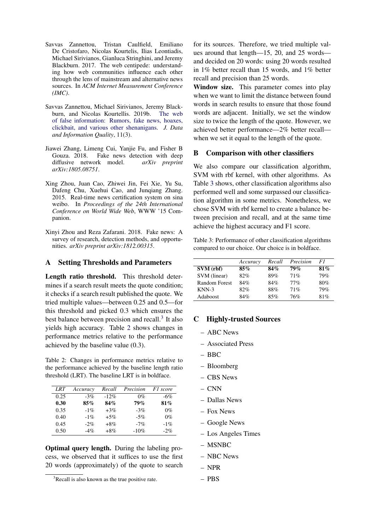- <span id="page-9-3"></span>Savvas Zannettou, Tristan Caulfield, Emiliano De Cristofaro, Nicolas Kourtelis, Ilias Leontiadis, Michael Sirivianos, Gianluca Stringhini, and Jeremy Blackburn. 2017. The web centipede: understanding how web communities influence each other through the lens of mainstream and alternative news sources. In *ACM Internet Measurement Conference (IMC)*.
- <span id="page-9-2"></span>Savvas Zannettou, Michael Sirivianos, Jeremy Blackburn, and Nicolas Kourtellis. 2019b. [The web](https://doi.org/10.1145/3309699) [of false information: Rumors, fake news, hoaxes,](https://doi.org/10.1145/3309699) [clickbait, and various other shenanigans.](https://doi.org/10.1145/3309699) *J. Data and Information Quality*, 11(3).
- <span id="page-9-4"></span>Jiawei Zhang, Limeng Cui, Yanjie Fu, and Fisher B Gouza. 2018. Fake news detection with deep diffusive network model. *arXiv preprint arXiv:1805.08751*.
- <span id="page-9-1"></span>Xing Zhou, Juan Cao, Zhiwei Jin, Fei Xie, Yu Su, Dafeng Chu, Xuehui Cao, and Junqiang Zhang. 2015. Real-time news certification system on sina weibo. In *Proceedings of the 24th International Conference on World Wide Web*, WWW '15 Companion.
- <span id="page-9-0"></span>Xinyi Zhou and Reza Zafarani. 2018. Fake news: A survey of research, detection methods, and opportunities. *arXiv preprint arXiv:1812.00315*.

#### <span id="page-9-5"></span>A Setting Thresholds and Parameters

Length ratio threshold. This threshold determines if a search result meets the quote condition; it checks if a search result published the quote. We tried multiple values—between 0.25 and 0.5—for this threshold and picked 0.3 which ensures the best balance between precision and recall.<sup>[3](#page-9-8)</sup> It also yields high accuracy. Table [2](#page-9-9) shows changes in performance metrics relative to the performance achieved by the baseline value (0.3).

<span id="page-9-9"></span>Table 2: Changes in performance metrics relative to the performance achieved by the baseline length ratio threshold (LRT). The baseline LRT is in boldface.

| LRT  | Accuracy | Recall | Precision | F1 score |
|------|----------|--------|-----------|----------|
| 0.25 | $-3\%$   | $-12%$ | $0\%$     | $-6\%$   |
| 0.30 | 85%      | 84%    | 79%       | 81%      |
| 0.35 | $-1\%$   | $+3\%$ | $-3\%$    | $0\%$    |
| 0.40 | $-1\%$   | $+5\%$ | $-5\%$    | $0\%$    |
| 0.45 | $-2\%$   | $+8\%$ | $-7%$     | $-1\%$   |
| 0.50 | $-4%$    | $+8\%$ | $-10%$    | $-2\%$   |

Optimal query length. During the labeling process, we observed that it suffices to use the first 20 words (approximately) of the quote to search

<span id="page-9-8"></span><sup>3</sup>Recall is also known as the true positive rate.

for its sources. Therefore, we tried multiple values around that length—15, 20, and 25 words and decided on 20 words: using 20 words resulted in 1% better recall than 15 words, and 1% better recall and precision than 25 words.

Window size. This parameter comes into play when we want to limit the distance between found words in search results to ensure that those found words are adjacent. Initially, we set the window size to twice the length of the quote. However, we achieved better performance—2% better recall when we set it equal to the length of the quote.

#### <span id="page-9-7"></span>B Comparison with other classifiers

We also compare our classification algorithm, SVM with rbf kernel, with other algorithms. As Table [3](#page-9-10) shows, other classification algorithms also performed well and some surpassed our classification algorithm in some metrics. Nonetheless, we chose SVM with rbf kernel to create a balance between precision and recall, and at the same time achieve the highest accuracy and F1 score.

<span id="page-9-10"></span>Table 3: Performance of other classification algorithms compared to our choice. Our choice is in boldface.

|                      | Accuracy | Recall | Precision | F1  |
|----------------------|----------|--------|-----------|-----|
| SVM (rbf)            | $85\%$   | 84%    | 79%       | 81% |
| SVM (linear)         | 82%      | 89%    | 71%       | 79% |
| <b>Random Forest</b> | 84%      | 84%    | $77\%$    | 80% |
| $KNN-3$              | 82%      | 88%    | 71%       | 79% |
| Adaboost             | 84%      | 85%    | 76%       | 81% |

#### <span id="page-9-6"></span>C Highly-trusted Sources

- ABC News
- Associated Press
- BBC
- Bloomberg
- CBS News
- CNN
- Dallas News
- Fox News
- Google News
- Los Angeles Times
- MSNBC
- NBC News
- NPR
- PBS